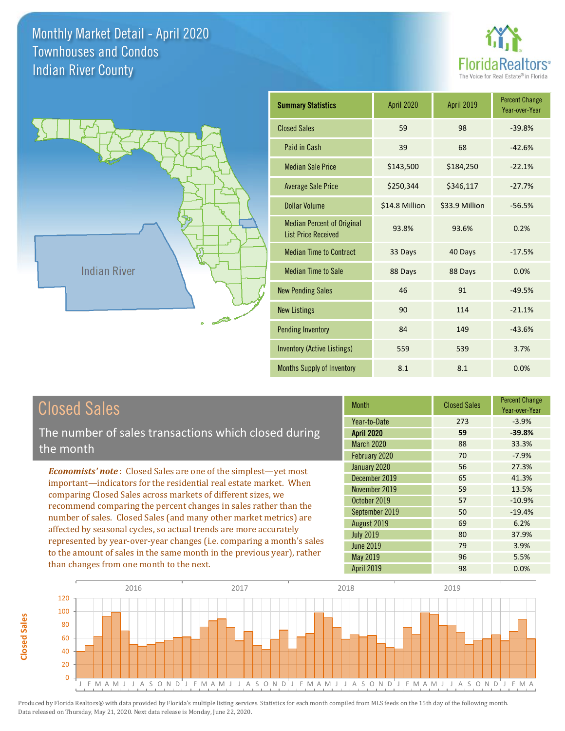



| <b>Closed Sales</b>                                                                                                                                                                                   | <b>Month</b>                                           |
|-------------------------------------------------------------------------------------------------------------------------------------------------------------------------------------------------------|--------------------------------------------------------|
| The number of sales transactions which closed during<br>the month                                                                                                                                     | Year-to-Date<br><b>April 2020</b><br><b>March 2020</b> |
| <b>Economists' note:</b> Closed Sales are one of the simplest—yet most                                                                                                                                | February 2020<br>January 2020<br>December 2019         |
| important—indicators for the residential real estate market. When<br>comparing Closed Sales across markets of different sizes, we<br>recommend comparing the percent changes in sales rather than the | November 2019<br>October 2019                          |
| number of sales. Closed Sales (and many other market metrics) are                                                                                                                                     | September 2019<br>August 2019                          |

affected by seasonal cycles, so actual trends are more accurately represented by year-over-year changes (i.e. comparing a month's sales to the amount of sales in the same month in the previous year), rather than changes from one month to the next.

**Closed Sales**

**Closed Sales** 

|                   |     | Year-over-Year |
|-------------------|-----|----------------|
| Year-to-Date      | 273 | $-3.9%$        |
| <b>April 2020</b> | 59  | $-39.8%$       |
| <b>March 2020</b> | 88  | 33.3%          |
| February 2020     | 70  | $-7.9%$        |
| January 2020      | 56  | 27.3%          |
| December 2019     | 65  | 41.3%          |
| November 2019     | 59  | 13.5%          |
| October 2019      | 57  | $-10.9%$       |
| September 2019    | 50  | $-19.4%$       |
| August 2019       | 69  | 6.2%           |
| <b>July 2019</b>  | 80  | 37.9%          |
| <b>June 2019</b>  | 79  | 3.9%           |
| May 2019          | 96  | 5.5%           |
| <b>April 2019</b> | 98  | 0.0%           |

Closed Sales

Percent Change

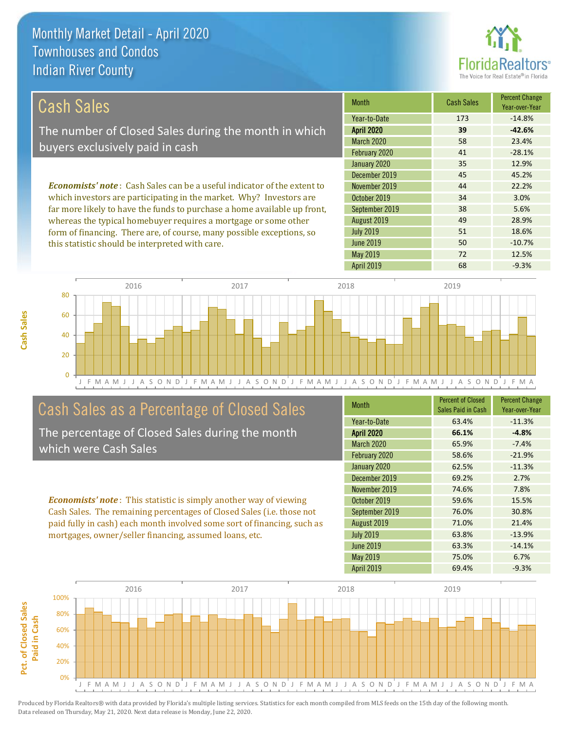this statistic should be interpreted with care.



50 -10.7%

| Cash Sales                                                                     | <b>Month</b>      | <b>Cash Sales</b> | <b>Percent Change</b><br>Year-over-Year |
|--------------------------------------------------------------------------------|-------------------|-------------------|-----------------------------------------|
|                                                                                | Year-to-Date      | 173               | $-14.8%$                                |
| The number of Closed Sales during the month in which                           | <b>April 2020</b> | 39                | $-42.6%$                                |
| buyers exclusively paid in cash                                                | <b>March 2020</b> | 58                | 23.4%                                   |
|                                                                                | February 2020     | 41                | $-28.1%$                                |
|                                                                                | January 2020      | 35                | 12.9%                                   |
|                                                                                | December 2019     | 45                | 45.2%                                   |
| <b>Economists' note:</b> Cash Sales can be a useful indicator of the extent to | November 2019     | 44                | 22.2%                                   |
| which investors are participating in the market. Why? Investors are            | October 2019      | 34                | 3.0%                                    |
| far more likely to have the funds to purchase a home available up front,       | September 2019    | 38                | 5.6%                                    |
| whereas the typical homebuyer requires a mortgage or some other                | August 2019       | 49                | 28.9%                                   |
| form of financing. There are, of course, many possible exceptions, so          | <b>July 2019</b>  | 51                | 18.6%                                   |

J F M A M J J A S O N D J F M A M J J A S O N D J F M A M J J A S O N D J F M A M J J A S O N D J F M A  $\Omega$ 20  $40$ 60 80 2016 2017 2018 2019

### Cash Sales as a Percentage of Closed Sales

The percentage of Closed Sales during the month which were Cash Sales

*Economists' note* : This statistic is simply another way of viewing Cash Sales. The remaining percentages of Closed Sales (i.e. those not paid fully in cash) each month involved some sort of financing, such as mortgages, owner/seller financing, assumed loans, etc.

| <b>Month</b>      | <b>Percent of Closed</b> | <b>Percent Change</b> |
|-------------------|--------------------------|-----------------------|
|                   | Sales Paid in Cash       | Year-over-Year        |
| Year-to-Date      | 63.4%                    | $-11.3%$              |
| <b>April 2020</b> | 66.1%                    | $-4.8%$               |
| <b>March 2020</b> | 65.9%                    | $-7.4%$               |
| February 2020     | 58.6%                    | $-21.9%$              |
| January 2020      | 62.5%                    | $-11.3%$              |
| December 2019     | 69.2%                    | 2.7%                  |
| November 2019     | 74.6%                    | 7.8%                  |
| October 2019      | 59.6%                    | 15.5%                 |
| September 2019    | 76.0%                    | 30.8%                 |
| August 2019       | 71.0%                    | 21.4%                 |
| <b>July 2019</b>  | 63.8%                    | $-13.9%$              |
| <b>June 2019</b>  | 63.3%                    | $-14.1%$              |
| <b>May 2019</b>   | 75.0%                    | 6.7%                  |
| <b>April 2019</b> | 69.4%                    | $-9.3%$               |

April 2019 **68** -9.3%

May 2019 72 2019

June 2019

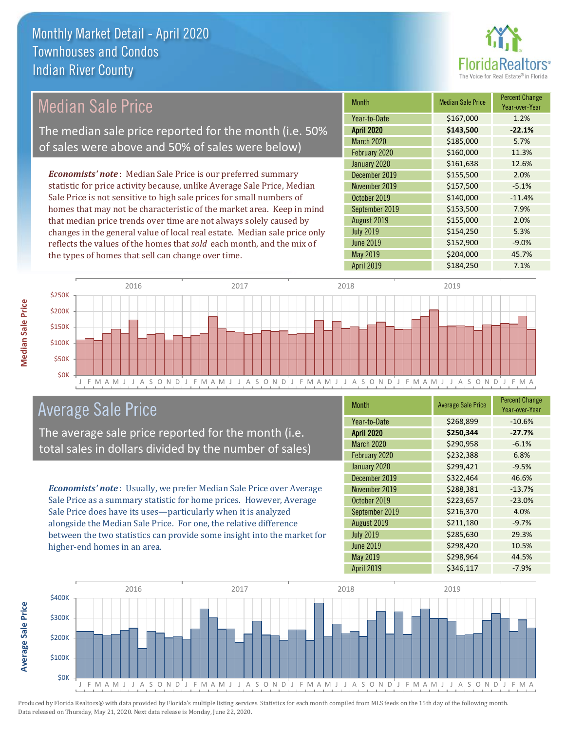

| <b>Median Sale Price</b>                                                  | <b>Month</b>      | <b>Median Sale Price</b> | <b>Percent Change</b><br>Year-over-Year |
|---------------------------------------------------------------------------|-------------------|--------------------------|-----------------------------------------|
|                                                                           | Year-to-Date      | \$167,000                | 1.2%                                    |
| The median sale price reported for the month (i.e. 50%                    | <b>April 2020</b> | \$143,500                | $-22.1%$                                |
| of sales were above and 50% of sales were below)                          | March 2020        | \$185,000                | 5.7%                                    |
|                                                                           | February 2020     | \$160,000                | 11.3%                                   |
|                                                                           | January 2020      | \$161,638                | 12.6%                                   |
| <b>Economists' note:</b> Median Sale Price is our preferred summary       | December 2019     | \$155,500                | 2.0%                                    |
| statistic for price activity because, unlike Average Sale Price, Median   | November 2019     | \$157,500                | $-5.1%$                                 |
| Sale Price is not sensitive to high sale prices for small numbers of      | October 2019      | \$140,000                | $-11.4%$                                |
| homes that may not be characteristic of the market area. Keep in mind     | September 2019    | \$153,500                | 7.9%                                    |
| that median price trends over time are not always solely caused by        | August 2019       | \$155,000                | 2.0%                                    |
| changes in the general value of local real estate. Median sale price only | <b>July 2019</b>  | \$154,250                | 5.3%                                    |
| reflects the values of the homes that sold each month, and the mix of     | <b>June 2019</b>  | \$152,900                | $-9.0%$                                 |
| the types of homes that sell can change over time.                        | May 2019          | \$204,000                | 45.7%                                   |
|                                                                           | <b>April 2019</b> | \$184,250                | 7.1%                                    |
| 2016<br>2017<br>\$250K                                                    | 2018              | 2019                     |                                         |
|                                                                           |                   |                          |                                         |



## Average Sale Price

The average sale price reported for the month (i.e. total sales in dollars divided by the number of sales)

*Economists' note* : Usually, we prefer Median Sale Price over Average Sale Price as a summary statistic for home prices. However, Average Sale Price does have its uses—particularly when it is analyzed alongside the Median Sale Price. For one, the relative difference between the two statistics can provide some insight into the market for higher-end homes in an area.

| <b>Month</b>      | <b>Average Sale Price</b> | <b>Percent Change</b><br>Year-over-Year |
|-------------------|---------------------------|-----------------------------------------|
| Year-to-Date      | \$268,899                 | $-10.6%$                                |
| <b>April 2020</b> | \$250,344                 | $-27.7%$                                |
| March 2020        | \$290,958                 | $-6.1%$                                 |
| February 2020     | \$232,388                 | 6.8%                                    |
| January 2020      | \$299,421                 | $-9.5%$                                 |
| December 2019     | \$322,464                 | 46.6%                                   |
| November 2019     | \$288,381                 | $-13.7%$                                |
| October 2019      | \$223,657                 | $-23.0%$                                |
| September 2019    | \$216,370                 | 4.0%                                    |
| August 2019       | \$211,180                 | $-9.7%$                                 |
| <b>July 2019</b>  | \$285,630                 | 29.3%                                   |
| <b>June 2019</b>  | \$298,420                 | 10.5%                                   |
| May 2019          | \$298,964                 | 44.5%                                   |
| April 2019        | \$346,117                 | $-7.9%$                                 |



Produced by Florida Realtors® with data provided by Florida's multiple listing services. Statistics for each month compiled from MLS feeds on the 15th day of the following month. Data released on Thursday, May 21, 2020. Next data release is Monday, June 22, 2020.

**Average Sale Price**

**Average Sale Price**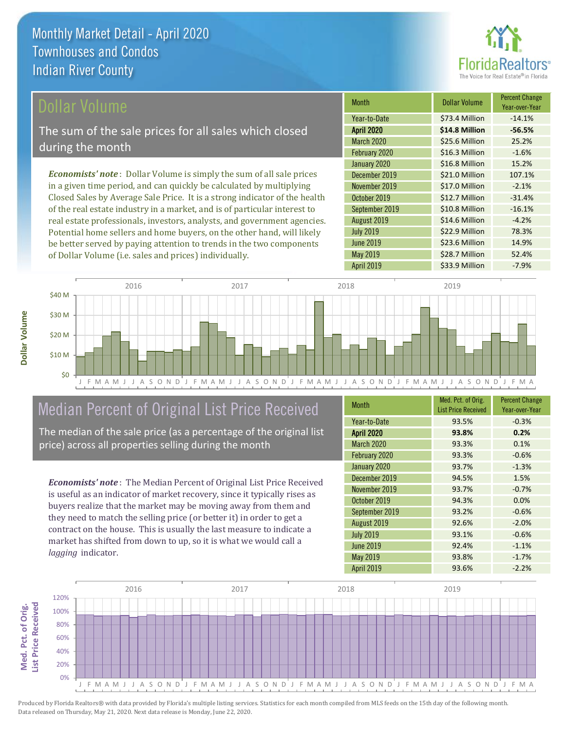

### Dollar Volume

The sum of the sale prices for all sales which closed during the month

*Economists' note* : Dollar Volume is simply the sum of all sale prices in a given time period, and can quickly be calculated by multiplying Closed Sales by Average Sale Price. It is a strong indicator of the health of the real estate industry in a market, and is of particular interest to real estate professionals, investors, analysts, and government agencies. Potential home sellers and home buyers, on the other hand, will likely be better served by paying attention to trends in the two components of Dollar Volume (i.e. sales and prices) individually.

| <b>Month</b>      | <b>Dollar Volume</b> | <b>Percent Change</b><br>Year-over-Year |
|-------------------|----------------------|-----------------------------------------|
| Year-to-Date      | \$73.4 Million       | $-14.1%$                                |
| <b>April 2020</b> | \$14.8 Million       | $-56.5%$                                |
| <b>March 2020</b> | \$25.6 Million       | 25.2%                                   |
| February 2020     | \$16.3 Million       | $-1.6%$                                 |
| January 2020      | \$16.8 Million       | 15.2%                                   |
| December 2019     | \$21.0 Million       | 107.1%                                  |
| November 2019     | \$17.0 Million       | $-2.1%$                                 |
| October 2019      | \$12.7 Million       | $-31.4%$                                |
| September 2019    | \$10.8 Million       | $-16.1%$                                |
| August 2019       | \$14.6 Million       | $-4.2%$                                 |
| <b>July 2019</b>  | \$22.9 Million       | 78.3%                                   |
| <b>June 2019</b>  | \$23.6 Million       | 14.9%                                   |
| May 2019          | \$28.7 Million       | 52.4%                                   |
| <b>April 2019</b> | \$33.9 Million       | $-7.9%$                                 |



## Median Percent of Original List Price Received

The median of the sale price (as a percentage of the original list price) across all properties selling during the month

*Economists' note* : The Median Percent of Original List Price Received is useful as an indicator of market recovery, since it typically rises as buyers realize that the market may be moving away from them and they need to match the selling price (or better it) in order to get a contract on the house. This is usually the last measure to indicate a market has shifted from down to up, so it is what we would call a *lagging* indicator.

| <b>Month</b>      | Med. Pct. of Orig.         | <b>Percent Change</b> |
|-------------------|----------------------------|-----------------------|
|                   | <b>List Price Received</b> | Year-over-Year        |
| Year-to-Date      | 93.5%                      | $-0.3%$               |
| <b>April 2020</b> | 93.8%                      | 0.2%                  |
| <b>March 2020</b> | 93.3%                      | 0.1%                  |
| February 2020     | 93.3%                      | $-0.6%$               |
| January 2020      | 93.7%                      | $-1.3%$               |
| December 2019     | 94.5%                      | 1.5%                  |
| November 2019     | 93.7%                      | $-0.7%$               |
| October 2019      | 94.3%                      | 0.0%                  |
| September 2019    | 93.2%                      | $-0.6%$               |
| August 2019       | 92.6%                      | $-2.0%$               |
| <b>July 2019</b>  | 93.1%                      | $-0.6%$               |
| <b>June 2019</b>  | 92.4%                      | $-1.1%$               |
| May 2019          | 93.8%                      | $-1.7%$               |
| <b>April 2019</b> | 93.6%                      | $-2.2%$               |

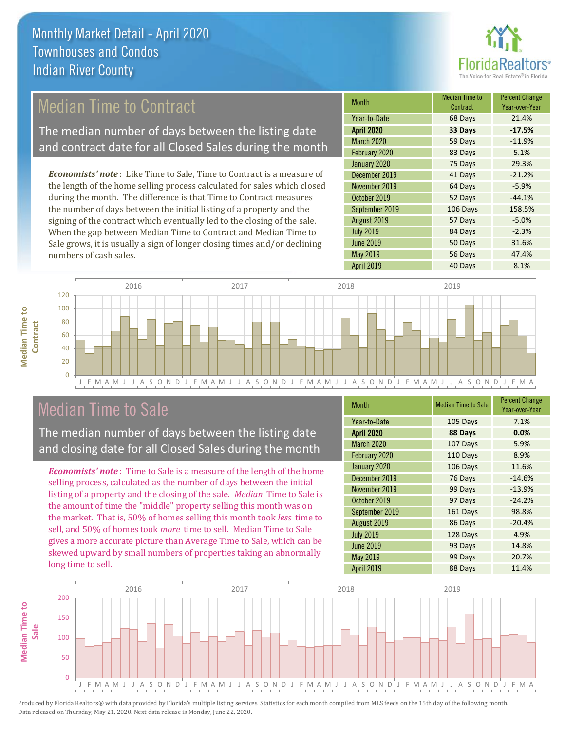

## Median Time to Contract

The median number of days between the listing date and contract date for all Closed Sales during the month

*Economists' note* : Like Time to Sale, Time to Contract is a measure of the length of the home selling process calculated for sales which closed during the month. The difference is that Time to Contract measures the number of days between the initial listing of a property and the signing of the contract which eventually led to the closing of the sale. When the gap between Median Time to Contract and Median Time to Sale grows, it is usually a sign of longer closing times and/or declining numbers of cash sales.

| Month             | <b>Median Time to</b><br>Contract | <b>Percent Change</b><br>Year-over-Year |
|-------------------|-----------------------------------|-----------------------------------------|
| Year-to-Date      | 68 Days                           | 21.4%                                   |
| <b>April 2020</b> | 33 Days                           | $-17.5%$                                |
| <b>March 2020</b> | 59 Days                           | $-11.9%$                                |
| February 2020     | 83 Days                           | 5.1%                                    |
| January 2020      | 75 Days                           | 29.3%                                   |
| December 2019     | 41 Days                           | $-21.2%$                                |
| November 2019     | 64 Days                           | $-5.9%$                                 |
| October 2019      | 52 Days                           | $-44.1%$                                |
| September 2019    | 106 Days                          | 158.5%                                  |
| August 2019       | 57 Days                           | $-5.0%$                                 |
| <b>July 2019</b>  | 84 Days                           | $-2.3%$                                 |
| <b>June 2019</b>  | 50 Days                           | 31.6%                                   |
| May 2019          | 56 Days                           | 47.4%                                   |
| April 2019        | 40 Days                           | 8.1%                                    |



### Median Time to Sale

**Median Time to** 

**Median Time to** 

The median number of days between the listing date and closing date for all Closed Sales during the month

*Economists' note* : Time to Sale is a measure of the length of the home selling process, calculated as the number of days between the initial listing of a property and the closing of the sale. *Median* Time to Sale is the amount of time the "middle" property selling this month was on the market. That is, 50% of homes selling this month took *less* time to sell, and 50% of homes took *more* time to sell. Median Time to Sale gives a more accurate picture than Average Time to Sale, which can be skewed upward by small numbers of properties taking an abnormally long time to sell.

| <b>Month</b>      | <b>Median Time to Sale</b> | <b>Percent Change</b><br>Year-over-Year |
|-------------------|----------------------------|-----------------------------------------|
| Year-to-Date      | 105 Days                   | 7.1%                                    |
| <b>April 2020</b> | 88 Days                    | 0.0%                                    |
| March 2020        | 107 Days                   | 5.9%                                    |
| February 2020     | 110 Days                   | 8.9%                                    |
| January 2020      | 106 Days                   | 11.6%                                   |
| December 2019     | 76 Days                    | $-14.6%$                                |
| November 2019     | 99 Days                    | $-13.9%$                                |
| October 2019      | 97 Days                    | $-24.2%$                                |
| September 2019    | 161 Days                   | 98.8%                                   |
| August 2019       | 86 Days                    | $-20.4%$                                |
| <b>July 2019</b>  | 128 Days                   | 4.9%                                    |
| <b>June 2019</b>  | 93 Days                    | 14.8%                                   |
| May 2019          | 99 Days                    | 20.7%                                   |
| <b>April 2019</b> | 88 Days                    | 11.4%                                   |

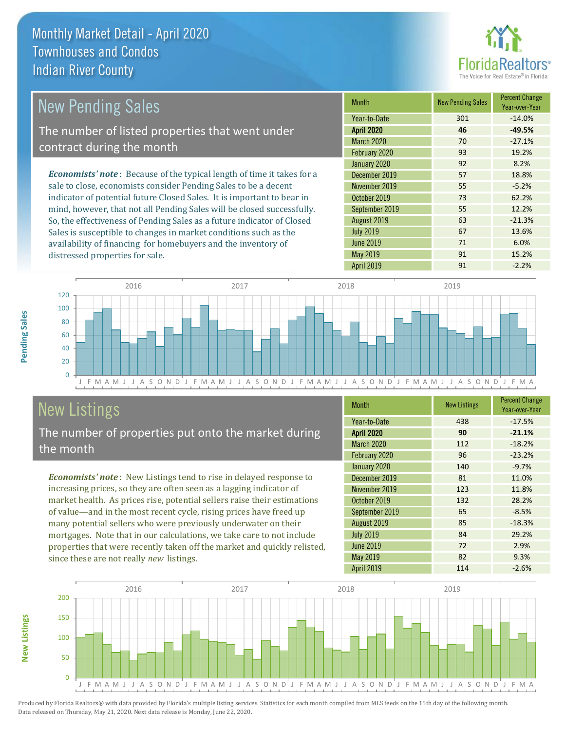distressed properties for sale.



| <b>New Pending Sales</b>                                                       | <b>Month</b>      | <b>New Pending Sales</b> | <b>Percent Change</b><br>Year-over-Year |
|--------------------------------------------------------------------------------|-------------------|--------------------------|-----------------------------------------|
|                                                                                | Year-to-Date      | 301                      | $-14.0%$                                |
| The number of listed properties that went under                                | <b>April 2020</b> | 46                       | $-49.5%$                                |
| contract during the month                                                      | <b>March 2020</b> | 70                       | $-27.1%$                                |
|                                                                                | February 2020     | 93                       | 19.2%                                   |
|                                                                                | January 2020      | 92                       | 8.2%                                    |
| <b>Economists' note</b> : Because of the typical length of time it takes for a | December 2019     | 57                       | 18.8%                                   |
| sale to close, economists consider Pending Sales to be a decent                | November 2019     | 55                       | $-5.2%$                                 |
| indicator of potential future Closed Sales. It is important to bear in         | October 2019      | 73                       | 62.2%                                   |
| mind, however, that not all Pending Sales will be closed successfully.         | September 2019    | 55                       | 12.2%                                   |
| So, the effectiveness of Pending Sales as a future indicator of Closed         | August 2019       | 63                       | $-21.3%$                                |
| Sales is susceptible to changes in market conditions such as the               | <b>July 2019</b>  | 67                       | 13.6%                                   |

J F M A M J J A S O N D J F M A M J J A S O N D J F M A M J J A S O N D J F M A M J J A S O N D J F M A  $\Omega$  $20$ 40 60 80 100 120 2016 2017 2018 2019

## New Listings

The number of properties put onto the market during the month

availability of financing for homebuyers and the inventory of

*Economists' note* : New Listings tend to rise in delayed response to increasing prices, so they are often seen as a lagging indicator of market health. As prices rise, potential sellers raise their estimations of value—and in the most recent cycle, rising prices have freed up many potential sellers who were previously underwater on their mortgages. Note that in our calculations, we take care to not include properties that were recently taken off the market and quickly relisted, since these are not really *new* listings.

| <b>Month</b>      | <b>New Listings</b> | <b>Percent Change</b><br>Year-over-Year |
|-------------------|---------------------|-----------------------------------------|
| Year-to-Date      | 438                 | $-17.5%$                                |
| <b>April 2020</b> | 90                  | $-21.1%$                                |
| <b>March 2020</b> | 112                 | $-18.2%$                                |
| February 2020     | 96                  | $-23.2%$                                |
| January 2020      | 140                 | $-9.7%$                                 |
| December 2019     | 81                  | 11.0%                                   |
| November 2019     | 123                 | 11.8%                                   |
| October 2019      | 132                 | 28.2%                                   |
| September 2019    | 65                  | $-8.5%$                                 |
| August 2019       | 85                  | $-18.3%$                                |
| <b>July 2019</b>  | 84                  | 29.2%                                   |
| <b>June 2019</b>  | 72                  | 2.9%                                    |
| May 2019          | 82                  | 9.3%                                    |
| <b>April 2019</b> | 114                 | $-2.6%$                                 |

June 2019 **71** 6.0% May 2019 **91** 15.2% April 2019 91 -2.2%



Produced by Florida Realtors® with data provided by Florida's multiple listing services. Statistics for each month compiled from MLS feeds on the 15th day of the following month. Data released on Thursday, May 21, 2020. Next data release is Monday, June 22, 2020.

**New Listings**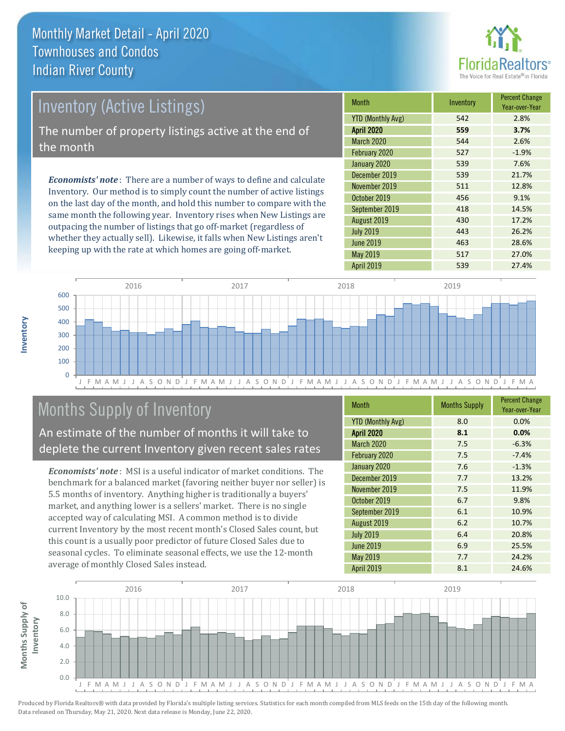

| <b>Inventory (Active Listings)</b><br>The number of property listings active at the end of<br>the month |  |                                                                              |              |
|---------------------------------------------------------------------------------------------------------|--|------------------------------------------------------------------------------|--------------|
|                                                                                                         |  | <b>Economists' note</b> : There are a number of ways to define and calculate | January 2020 |
|                                                                                                         |  |                                                                              | December 20  |
|                                                                                                         |  |                                                                              |              |

Inventory. Our method is to simply count the number of active listings on the last day of the month, and hold this number to compare with the same month the following year. Inventory rises when New Listings are outpacing the number of listings that go off-market (regardless of whether they actually sell). Likewise, it falls when New Listings aren't keeping up with the rate at which homes are going off-market.

| <b>Month</b>             | Inventory | <b>Percent Change</b><br>Year-over-Year |
|--------------------------|-----------|-----------------------------------------|
| <b>YTD (Monthly Avg)</b> | 542       | 2.8%                                    |
| <b>April 2020</b>        | 559       | 3.7%                                    |
| <b>March 2020</b>        | 544       | 2.6%                                    |
| February 2020            | 527       | $-1.9%$                                 |
| January 2020             | 539       | 7.6%                                    |
| December 2019            | 539       | 21.7%                                   |
| November 2019            | 511       | 12.8%                                   |
| October 2019             | 456       | 9.1%                                    |
| September 2019           | 418       | 14.5%                                   |
| August 2019              | 430       | 17.2%                                   |
| <b>July 2019</b>         | 443       | 26.2%                                   |
| <b>June 2019</b>         | 463       | 28.6%                                   |
| May 2019                 | 517       | 27.0%                                   |
| <b>April 2019</b>        | 539       | 27.4%                                   |



## Months Supply of Inventory

An estimate of the number of months it will take to deplete the current Inventory given recent sales rates

*Economists' note* : MSI is a useful indicator of market conditions. The benchmark for a balanced market (favoring neither buyer nor seller) is 5.5 months of inventory. Anything higher is traditionally a buyers' market, and anything lower is a sellers' market. There is no single accepted way of calculating MSI. A common method is to divide current Inventory by the most recent month's Closed Sales count, but this count is a usually poor predictor of future Closed Sales due to seasonal cycles. To eliminate seasonal effects, we use the 12-month average of monthly Closed Sales instead.

| Month                    | <b>Months Supply</b> | <b>Percent Change</b><br>Year-over-Year |
|--------------------------|----------------------|-----------------------------------------|
| <b>YTD (Monthly Avg)</b> | 8.0                  | 0.0%                                    |
| <b>April 2020</b>        | 8.1                  | 0.0%                                    |
| March 2020               | 7.5                  | $-6.3%$                                 |
| February 2020            | 7.5                  | $-7.4%$                                 |
| January 2020             | 7.6                  | $-1.3%$                                 |
| December 2019            | 7.7                  | 13.2%                                   |
| November 2019            | 7.5                  | 11.9%                                   |
| October 2019             | 6.7                  | 9.8%                                    |
| September 2019           | 6.1                  | 10.9%                                   |
| August 2019              | 6.2                  | 10.7%                                   |
| <b>July 2019</b>         | 6.4                  | 20.8%                                   |
| <b>June 2019</b>         | 6.9                  | 25.5%                                   |
| May 2019                 | 7.7                  | 24.2%                                   |
| <b>April 2019</b>        | 8.1                  | 24.6%                                   |

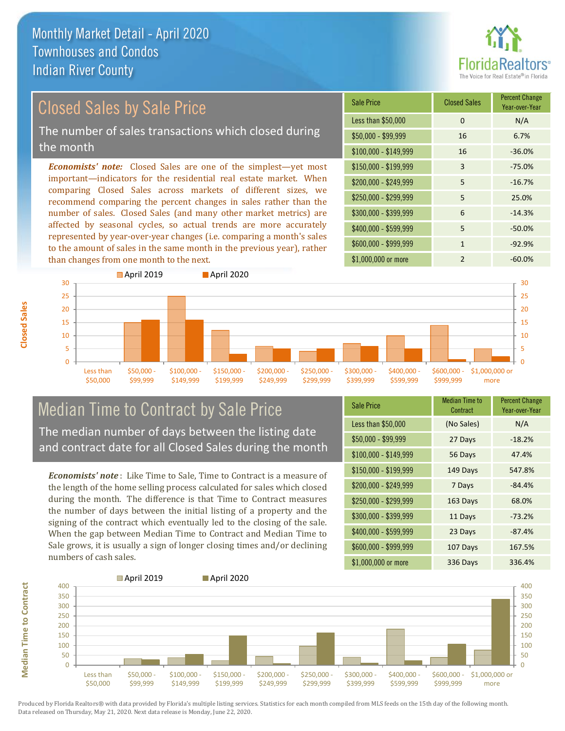

### Closed Sales by Sale Price

The number of sales transactions which closed during the month

*Economists' note:* Closed Sales are one of the simplest—yet most important—indicators for the residential real estate market. When comparing Closed Sales across markets of different sizes, we recommend comparing the percent changes in sales rather than the number of sales. Closed Sales (and many other market metrics) are affected by seasonal cycles, so actual trends are more accurately represented by year-over-year changes (i.e. comparing a month's sales to the amount of sales in the same month in the previous year), rather than changes from one month to the next.

| <b>Sale Price</b>     | <b>Closed Sales</b> | <b>Percent Change</b><br>Year-over-Year |
|-----------------------|---------------------|-----------------------------------------|
| Less than \$50,000    | 0                   | N/A                                     |
| $$50,000 - $99,999$   | 16                  | 6.7%                                    |
| $$100,000 - $149,999$ | 16                  | $-36.0%$                                |
| $$150,000 - $199,999$ | 3                   | $-75.0%$                                |
| \$200,000 - \$249,999 | 5                   | $-16.7%$                                |
| \$250,000 - \$299,999 | 5                   | 25.0%                                   |
| \$300,000 - \$399,999 | 6                   | $-14.3%$                                |
| \$400,000 - \$599,999 | 5                   | $-50.0%$                                |
| \$600,000 - \$999,999 | 1                   | $-92.9%$                                |
| \$1,000,000 or more   | $\mathfrak{p}$      | $-60.0%$                                |



### Median Time to Contract by Sale Price The median number of days between the listing date and contract date for all Closed Sales during the month

*Economists' note* : Like Time to Sale, Time to Contract is a measure of the length of the home selling process calculated for sales which closed during the month. The difference is that Time to Contract measures the number of days between the initial listing of a property and the signing of the contract which eventually led to the closing of the sale. When the gap between Median Time to Contract and Median Time to Sale grows, it is usually a sign of longer closing times and/or declining numbers of cash sales.

| <b>Sale Price</b>     | <b>Median Time to</b><br>Contract | <b>Percent Change</b><br>Year-over-Year |
|-----------------------|-----------------------------------|-----------------------------------------|
| Less than \$50,000    | (No Sales)                        | N/A                                     |
| \$50,000 - \$99,999   | 27 Days                           | $-18.2%$                                |
| $$100,000 - $149,999$ | 56 Days                           | 47.4%                                   |
| $$150,000 - $199,999$ | 149 Days                          | 547.8%                                  |
| \$200,000 - \$249,999 | 7 Days                            | $-84.4%$                                |
| \$250,000 - \$299,999 | 163 Days                          | 68.0%                                   |
| \$300,000 - \$399,999 | 11 Days                           | $-73.2%$                                |
| \$400,000 - \$599,999 | 23 Days                           | $-87.4%$                                |
| \$600,000 - \$999,999 | 107 Days                          | 167.5%                                  |
| \$1,000,000 or more   | 336 Days                          | 336.4%                                  |



**Median Time to Contract**

**Median Time to Contract** 

**Closed Sales**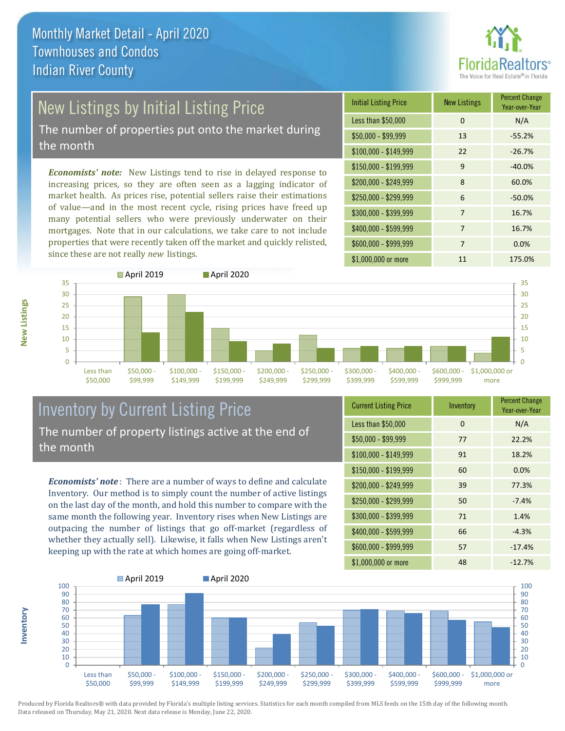

# New Listings by Initial Listing Price

The number of properties put onto the market during the month

*Economists' note:* New Listings tend to rise in delayed response to increasing prices, so they are often seen as a lagging indicator of market health. As prices rise, potential sellers raise their estimations of value—and in the most recent cycle, rising prices have freed up many potential sellers who were previously underwater on their mortgages. Note that in our calculations, we take care to not include properties that were recently taken off the market and quickly relisted, since these are not really *new* listings.

| <b>Initial Listing Price</b> | <b>New Listings</b> | <b>Percent Change</b><br>Year-over-Year |
|------------------------------|---------------------|-----------------------------------------|
| Less than \$50,000           | 0                   | N/A                                     |
| $$50,000 - $99,999$          | 13                  | $-55.2%$                                |
| $$100,000 - $149,999$        | 22                  | $-26.7%$                                |
| $$150,000 - $199,999$        | 9                   | $-40.0%$                                |
| \$200,000 - \$249,999        | 8                   | 60.0%                                   |
| \$250,000 - \$299,999        | 6                   | $-50.0%$                                |
| \$300,000 - \$399,999        | 7                   | 16.7%                                   |
| \$400,000 - \$599,999        | 7                   | 16.7%                                   |
| \$600,000 - \$999,999        | 7                   | 0.0%                                    |
| \$1,000,000 or more          | 11                  | 175.0%                                  |



### Inventory by Current Listing Price The number of property listings active at the end of the month

*Economists' note* : There are a number of ways to define and calculate Inventory. Our method is to simply count the number of active listings on the last day of the month, and hold this number to compare with the same month the following year. Inventory rises when New Listings are outpacing the number of listings that go off-market (regardless of whether they actually sell). Likewise, it falls when New Listings aren't keeping up with the rate at which homes are going off-market.

| <b>Current Listing Price</b> | Inventory | <b>Percent Change</b><br>Year-over-Year |
|------------------------------|-----------|-----------------------------------------|
| Less than \$50,000           | $\Omega$  | N/A                                     |
| $$50,000 - $99,999$          | 77        | 22.2%                                   |
| $$100,000 - $149,999$        | 91        | 18.2%                                   |
| $$150,000 - $199,999$        | 60        | 0.0%                                    |
| \$200,000 - \$249,999        | 39        | 77.3%                                   |
| \$250,000 - \$299,999        | 50        | $-7.4%$                                 |
| \$300,000 - \$399,999        | 71        | 1.4%                                    |
| $$400,000 - $599,999$        | 66        | $-4.3%$                                 |
| \$600,000 - \$999,999        | 57        | $-17.4%$                                |
| \$1,000,000 or more          | 48        | $-12.7%$                                |



Produced by Florida Realtors® with data provided by Florida's multiple listing services. Statistics for each month compiled from MLS feeds on the 15th day of the following month. Data released on Thursday, May 21, 2020. Next data release is Monday, June 22, 2020.

**Inventory**